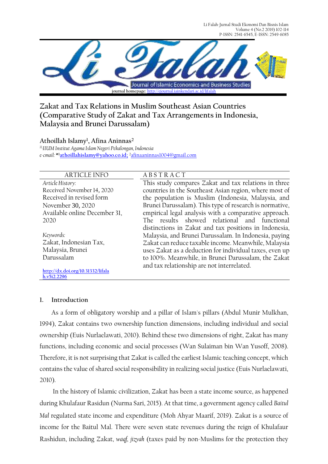Li Falah-Jurnal Studi Ekonomi Dan Bisnis Islam Volume 4 (No.2 2019) 102-114 P-ISSN: 2541-6545, E-ISSN: 2549-6085



# **Zakat and Tax Relations in Muslim Southeast Asian Countries (Comparative Study of Zakat and Tax Arrangements in Indonesia, Malaysia and Brunei Darussalam)**

## **Athoillah Islamy<sup>1</sup> , Afina Aninnas<sup>2</sup>**

*11,IIUM Institut Agama Islam Negeri Pekalongan, Indonesia e-cmail:* **\* <sup>1</sup>[athoillahislamy@yahoo.co.id;](mailto:athoillahislamy@yahoo.co.id)** <sup>2</sup>[afinaaninnas1004@gmail.com](mailto:afinaaninnas1004@gmail.com)

*Article History:* Received November 14, 2020 Received in revised form November 30, 2020 Available online December 31, 2020

*Keywords:*  Zakat, Indonesian Tax, Malaysia, Brunei Darussalam

**[http://dx.doi.org/10.31332/lifala](http://dx.doi.org/10.31332/lifalah.v5i2.2296) [h.v5i2.2296](http://dx.doi.org/10.31332/lifalah.v5i2.2296)**

### ARTICLE INFO A B S T R A C T

This study compares Zakat and tax relations in three countries in the Southeast Asian region, where most of the population is Muslim (Indonesia, Malaysia, and Brunei Darussalam). This type of research is normative, empirical legal analysis with a comparative approach. The results showed relational and functional distinctions in Zakat and tax positions in Indonesia, Malaysia, and Brunei Darussalam. In Indonesia, paying Zakat can reduce taxable income. Meanwhile, Malaysia uses Zakat as a deduction for individual taxes, even up to 100%. Meanwhile, in Brunei Darussalam, the Zakat and tax relationship are not interrelated.

## **1. Introduction**

As a form of obligatory worship and a pillar of Islam's pillars (Abdul Munir Mulkhan, 1994), Zakat contains two ownership function dimensions, including individual and social ownership (Euis Nurlaelawati, 2010). Behind these two dimensions of right, Zakat has many functions, including economic and social processes (Wan Sulaiman bin Wan Yusoff, 2008). Therefore, it is not surprising that Zakat is called the earliest Islamic teaching concept, which contains the value of shared social responsibility in realizing social justice (Euis Nurlaelawati, 2010).

In the history of Islamic civilization, Zakat has been a state income source, as happened during Khulafaur Rasidun (Nurma Sari, 2015). At that time, a government agency called *Baitul Mal* regulated state income and expenditure (Moh Ahyar Maarif, 2019). Zakat is a source of income for the Baitul Mal. There were seven state revenues during the reign of Khulafaur Rashidun, including Zakat, *waqf, jizyah* (taxes paid by non-Muslims for the protection they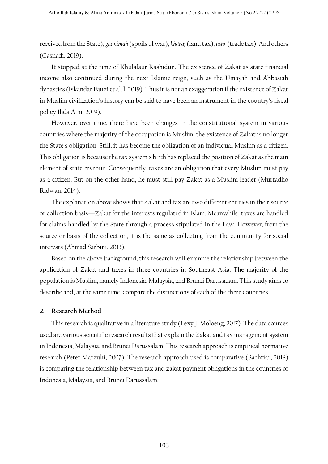received from the State), *ghanimah* (spoils of war), *kharaj*(land tax), *ushr*(trade tax). And others (Casnadi, 2019).

It stopped at the time of Khulafaur Rashidun. The existence of Zakat as state financial income also continued during the next Islamic reign, such as the Umayah and Abbasiah dynasties (Iskandar Fauzi et al. l, 2019). Thus it is not an exaggeration if the existence of Zakat in Muslim civilization's history can be said to have been an instrument in the country's fiscal policy Ihda Aini, 2019).

However, over time, there have been changes in the constitutional system in various countries where the majority of the occupation is Muslim; the existence of Zakat is no longer the State's obligation. Still, it has become the obligation of an individual Muslim as a citizen. This obligation is because the tax system's birth has replaced the position of Zakat as the main element of state revenue. Consequently, taxes are an obligation that every Muslim must pay as a citizen. But on the other hand, he must still pay Zakat as a Muslim leader (Murtadho Ridwan, 2014).

The explanation above shows that Zakat and tax are two different entities in their source or collection basis—Zakat for the interests regulated in Islam. Meanwhile, taxes are handled for claims handled by the State through a process stipulated in the Law. However, from the source or basis of the collection, it is the same as collecting from the community for social interests (Ahmad Sarbini, 2013).

Based on the above background, this research will examine the relationship between the application of Zakat and taxes in three countries in Southeast Asia. The majority of the population is Muslim, namely Indonesia, Malaysia, and Brunei Darussalam. This study aims to describe and, at the same time, compare the distinctions of each of the three countries.

#### **2. Research Method**

This research is qualitative in a literature study (Lexy J. Moloeng, 2017). The data sources used are various scientific research results that explain the Zakat and tax management system in Indonesia, Malaysia, and Brunei Darussalam. This research approach is empirical normative research (Peter Marzuki, 2007). The research approach used is comparative (Bachtiar, 2018) is comparing the relationship between tax and zakat payment obligations in the countries of Indonesia, Malaysia, and Brunei Darussalam.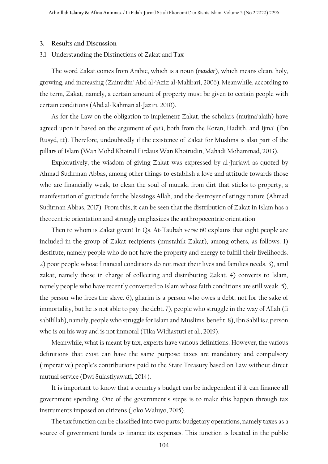#### **3. Results and Discussion**

#### 3.1 Understanding the Distinctions of Zakat and Tax

The word Zakat comes from Arabic, which is a noun (*masdar*), which means clean, holy, growing, and increasing (Zainudin' Abd al-'Aziz al-Malibari, 2006).Meanwhile, according to the term, Zakat, namely, a certain amount of property must be given to certain people with certain conditions (Abd al-Rahman al-Jaziri, 2010).

As for the Law on the obligation to implement Zakat, the scholars (mujma'alaih) have agreed upon it based on the argument of *qat'i*, both from the Koran, Hadith, and Ijma' (Ibn Rusyd, tt). Therefore, undoubtedly if the existence of Zakat for Muslims is also part of the pillars of Islam (Wan Mohd Khoirul Firdaus Wan Khoirudin, Mahadi Mohammad, 2013).

Exploratively, the wisdom of giving Zakat was expressed by al-Jurjawi as quoted by Ahmad Sudirman Abbas, among other things to establish a love and attitude towards those who are financially weak, to clean the soul of muzaki from dirt that sticks to property, a manifestation of gratitude for the blessings Allah, and the destroyer of stingy nature (Ahmad Sudirman Abbas, 2017). From this, it can be seen that the distribution of Zakat in Islam has a theocentric orientation and strongly emphasizes the anthropocentric orientation.

Then to whom is Zakat given? In Qs. At-Taubah verse 60 explains that eight people are included in the group of Zakat recipients (mustahik Zakat), among others, as follows. 1) destitute, namely people who do not have the property and energy to fulfill their livelihoods. 2) poor people whose financial conditions do not meet their lives and families needs. 3), amil zakat, namely those in charge of collecting and distributing Zakat. 4) converts to Islam, namely people who have recently converted to Islam whose faith conditions are still weak. 5), the person who frees the slave. 6), gharim is a person who owes a debt, not for the sake of immortality, but he is not able to pay the debt. 7), people who struggle in the way of Allah (fi sabilillah), namely, people who struggle for Islam and Muslims' benefit. 8), Ibn Sabil is a person who is on his way and is not immoral (Tika Widiastuti et al., 2019).

Meanwhile, what is meant by tax, experts have various definitions. However, the various definitions that exist can have the same purpose: taxes are mandatory and compulsory (imperative) people's contributions paid to the State Treasury based on Law without direct mutual service (Dwi Sulastiyawati, 2014).

It is important to know that a country's budget can be independent if it can finance all government spending. One of the government's steps is to make this happen through tax instruments imposed on citizens (Joko Waluyo, 2015).

The tax function can be classified into two parts: budgetary operations, namely taxes as a source of government funds to finance its expenses. This function is located in the public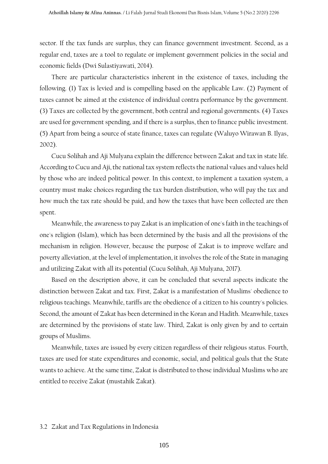sector. If the tax funds are surplus, they can finance government investment. Second, as a regular end, taxes are a tool to regulate or implement government policies in the social and economic fields (Dwi Sulastiyawati, 2014).

There are particular characteristics inherent in the existence of taxes, including the following. (1) Tax is levied and is compelling based on the applicable Law. (2) Payment of taxes cannot be aimed at the existence of individual contra performance by the government. (3) Taxes are collected by the government, both central and regional governments. (4) Taxes are used for government spending, and if there is a surplus, then to finance public investment. (5) Apart from being a source of state finance, taxes can regulate (Waluyo Wirawan B. Ilyas, 2002).

Cucu Solihah and Aji Mulyana explain the difference between Zakat and tax in state life. According to Cucu and Aji, the national tax system reflects the national values and values held by those who are indeed political power. In this context, to implement a taxation system, a country must make choices regarding the tax burden distribution, who will pay the tax and how much the tax rate should be paid, and how the taxes that have been collected are then spent.

Meanwhile, the awareness to pay Zakat is an implication of one's faith in the teachings of one's religion (Islam), which has been determined by the basis and all the provisions of the mechanism in religion. However, because the purpose of Zakat is to improve welfare and poverty alleviation, at the level of implementation, it involves the role of the State in managing and utilizing Zakat with all its potential (Cucu Solihah, Aji Mulyana, 2017).

Based on the description above, it can be concluded that several aspects indicate the distinction between Zakat and tax. First, Zakat is a manifestation of Muslims' obedience to religious teachings. Meanwhile, tariffs are the obedience of a citizen to his country's policies. Second, the amount of Zakat has been determined in the Koran and Hadith. Meanwhile, taxes are determined by the provisions of state law. Third, Zakat is only given by and to certain groups of Muslims.

Meanwhile, taxes are issued by every citizen regardless of their religious status. Fourth, taxes are used for state expenditures and economic, social, and political goals that the State wants to achieve. At the same time, Zakat is distributed to those individual Muslims who are entitled to receive Zakat (mustahik Zakat).

### 3.2 Zakat and Tax Regulations in Indonesia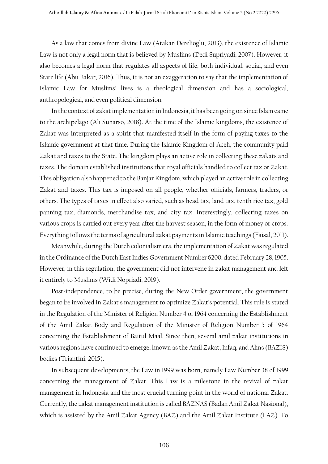As a law that comes from divine Law (Atakan Derelioglu, 2013), the existence of Islamic Law is not only a legal norm that is believed by Muslims (Dedi Supriyadi, 2007). However, it also becomes a legal norm that regulates all aspects of life, both individual, social, and even State life (Abu Bakar, 2016). Thus, it is not an exaggeration to say that the implementation of Islamic Law for Muslims' lives is a theological dimension and has a sociological, anthropological, and even political dimension.

In the context of zakat implementation in Indonesia, it has been going on since Islam came to the archipelago (Ali Sunarso, 2018). At the time of the Islamic kingdoms, the existence of Zakat was interpreted as a spirit that manifested itself in the form of paying taxes to the Islamic government at that time. During the Islamic Kingdom of Aceh, the community paid Zakat and taxes to the State. The kingdom plays an active role in collecting these zakats and taxes. The domain established institutions that royal officials handled to collect tax or Zakat. This obligation also happened to the Banjar Kingdom, which played an active role in collecting Zakat and taxes. This tax is imposed on all people, whether officials, farmers, traders, or others. The types of taxes in effect also varied, such as head tax, land tax, tenth rice tax, gold panning tax, diamonds, merchandise tax, and city tax. Interestingly, collecting taxes on various crops is carried out every year after the harvest season, in the form of money or crops. Everything followsthe terms of agricultural zakat payments in Islamic teachings(Faisal, 2011).

Meanwhile, during the Dutch colonialism era, the implementation of Zakat was regulated in the Ordinance of the Dutch East Indies Government Number 6200, dated February 28, 1905. However, in this regulation, the government did not intervene in zakat management and left it entirely to Muslims (Widi Nopriadi, 2019).

Post-independence, to be precise, during the New Order government, the government began to be involved in Zakat's management to optimize Zakat's potential. This rule is stated in the Regulation of the Minister of Religion Number 4 of 1964 concerning the Establishment of the Amil Zakat Body and Regulation of the Minister of Religion Number 5 of 1964 concerning the Establishment of Baitul Maal. Since then, several amil zakat institutions in various regions have continued to emerge, known as the Amil Zakat, Infaq, and Alms (BAZIS) bodies (Triantini, 2015).

In subsequent developments, the Law in 1999 was born, namely Law Number 38 of 1999 concerning the management of Zakat. This Law is a milestone in the revival of zakat management in Indonesia and the most crucial turning point in the world of national Zakat. Currently, the zakat management institution is called BAZNAS (Badan Amil Zakat Nasional), which is assisted by the Amil Zakat Agency (BAZ) and the Amil Zakat Institute (LAZ). To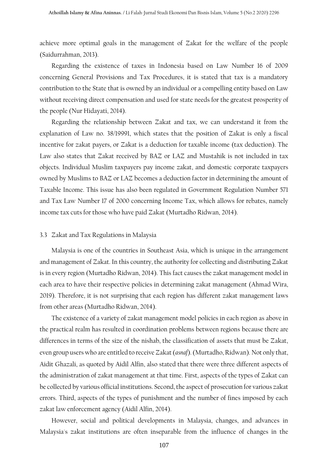achieve more optimal goals in the management of Zakat for the welfare of the people (Saidurrahman, 2013).

Regarding the existence of taxes in Indonesia based on Law Number 16 of 2009 concerning General Provisions and Tax Procedures, it is stated that tax is a mandatory contribution to the State that is owned by an individual or a compelling entity based on Law without receiving direct compensation and used for state needs for the greatest prosperity of the people (Nur Hidayati, 2014).

Regarding the relationship between Zakat and tax, we can understand it from the explanation of Law no. 38/19991, which states that the position of Zakat is only a fiscal incentive for zakat payers, or Zakat is a deduction for taxable income (tax deduction). The Law also states that Zakat received by BAZ or LAZ and Mustahik is not included in tax objects. Individual Muslim taxpayers pay income zakat, and domestic corporate taxpayers owned by Muslims to BAZ or LAZ becomes a deduction factor in determining the amount of Taxable Income. This issue has also been regulated in Government Regulation Number 571 and Tax Law Number 17 of 2000 concerning Income Tax, which allows for rebates, namely income tax cuts for those who have paid Zakat (Murtadho Ridwan, 2014).

## 3.3 Zakat and Tax Regulations in Malaysia

Malaysia is one of the countries in Southeast Asia, which is unique in the arrangement and management of Zakat. In this country, the authority for collecting and distributing Zakat is in every region (Murtadho Ridwan, 2014). This fact causes the zakat management model in each area to have their respective policies in determining zakat management (Ahmad Wira, 2019). Therefore, it is not surprising that each region has different zakat management laws from other areas (Murtadho Ridwan, 2014).

The existence of a variety of zakat management model policies in each region as above in the practical realm has resulted in coordination problems between regions because there are differences in terms of the size of the nishab, the classification of assets that must be Zakat, even group users who are entitled to receive Zakat (*asnaf*). (Murtadho, Ridwan). Not only that, Aidit Ghazali, as quoted by Aidil Alfin, also stated that there were three different aspects of the administration of zakat management at that time. First, aspects of the types of Zakat can be collected by various official institutions. Second, the aspect of prosecution for various zakat errors. Third, aspects of the types of punishment and the number of fines imposed by each zakat law enforcement agency (Aidil Alfin, 2014).

However, social and political developments in Malaysia, changes, and advances in Malaysia's zakat institutions are often inseparable from the influence of changes in the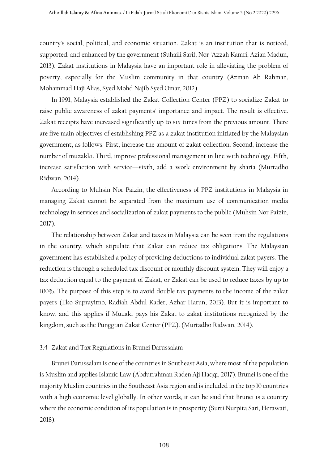country's social, political, and economic situation. Zakat is an institution that is noticed, supported, and enhanced by the government (Suhaili Sarif, Nor 'Azzah Kamri, Azian Madun, 2013). Zakat institutions in Malaysia have an important role in alleviating the problem of poverty, especially for the Muslim community in that country (Azman Ab Rahman, Mohammad Haji Alias, Syed Mohd Najib Syed Omar, 2012).

In 1991, Malaysia established the Zakat Collection Center (PPZ) to socialize Zakat to raise public awareness of zakat payments' importance and impact. The result is effective. Zakat receipts have increased significantly up to six times from the previous amount. There are five main objectives of establishing PPZ as a zakat institution initiated by the Malaysian government, as follows. First, increase the amount of zakat collection. Second, increase the number of muzakki. Third, improve professional management in line with technology. Fifth, increase satisfaction with service—sixth, add a work environment by sharia (Murtadho Ridwan, 2014).

According to Muhsin Nor Paizin, the effectiveness of PPZ institutions in Malaysia in managing Zakat cannot be separated from the maximum use of communication media technology in services and socialization of zakat payments to the public (Muhsin Nor Paizin, 2017).

The relationship between Zakat and taxes in Malaysia can be seen from the regulations in the country, which stipulate that Zakat can reduce tax obligations. The Malaysian government has established a policy of providing deductions to individual zakat payers. The reduction is through a scheduled tax discount or monthly discount system. They will enjoy a tax deduction equal to the payment of Zakat, or Zakat can be used to reduce taxes by up to 100%. The purpose of this step is to avoid double tax payments to the income of the zakat payers (Eko Suprayitno, Radiah Abdul Kader, Azhar Harun, 2013). But it is important to know, and this applies if Muzaki pays his Zakat to zakat institutions recognized by the kingdom, such as the Punggtan Zakat Center (PPZ). (Murtadho Ridwan, 2014).

## 3.4 Zakat and Tax Regulations in Brunei Darussalam

Brunei Darussalam is one of the countries in Southeast Asia, where most of the population is Muslim and applies Islamic Law (Abdurrahman Raden Aji Haqqi, 2017). Brunei is one of the majority Muslim countries in the Southeast Asia region and is included in the top 10 countries with a high economic level globally. In other words, it can be said that Brunei is a country where the economic condition of its population is in prosperity (Surti Nurpita Sari, Herawati, 2018).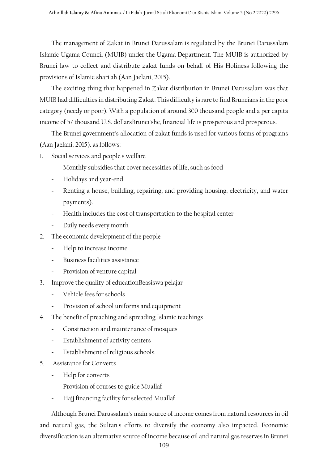The management of Zakat in Brunei Darussalam is regulated by the Brunei Darussalam Islamic Ugama Council (MUIB) under the Ugama Department. The MUIB is authorized by Brunei law to collect and distribute zakat funds on behalf of His Holiness following the provisions of Islamic shari'ah (Aan Jaelani, 2015).

The exciting thing that happened in Zakat distribution in Brunei Darussalam was that MUIB had difficulties in distributing Zakat. This difficulty is rare to find Bruneians in the poor category (needy or poor). With a population of around 300 thousand people and a per capita income of 57 thousand U.S. dollarsBrunei'she, financial life is prosperous and prosperous.

The Brunei government's allocation of zakat funds is used for various forms of programs (Aan Jaelani, 2015). as follows:

- 1. Social services and people's welfare
	- Monthly subsidies that cover necessities of life, such as food
	- Holidays and year-end
	- Renting a house, building, repairing, and providing housing, electricity, and water payments).
	- Health includes the cost of transportation to the hospital center
	- Daily needs every month
- 2. The economic development of the people
	- Help to increase income
	- Business facilities assistance
	- Provision of venture capital
- 3. Improve the quality of educationBeasiswa pelajar
	- Vehicle fees for schools
	- Provision of school uniforms and equipment
- 4. The benefit of preaching and spreading Islamic teachings
	- Construction and maintenance of mosques
	- Establishment of activity centers
	- Establishment of religious schools.
- 5. Assistance for Converts
	- Help for converts
	- Provision of courses to guide Muallaf
	- Hajj financing facility for selected Muallaf

Although Brunei Darussalam's main source of income comes from natural resources in oil and natural gas, the Sultan's efforts to diversify the economy also impacted. Economic diversification is an alternative source of income because oil and natural gas reserves in Brunei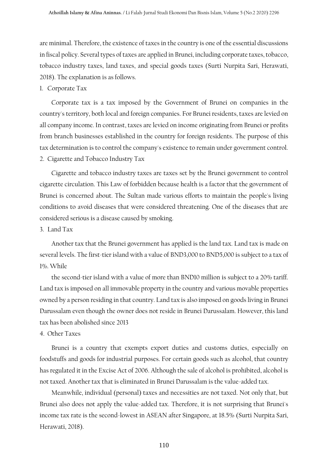are minimal. Therefore, the existence of taxes in the country is one of the essential discussions in fiscal policy. Several types of taxes are applied in Brunei, including corporate taxes, tobacco, tobacco industry taxes, land taxes, and special goods taxes (Surti Nurpita Sari, Herawati, 2018). The explanation is as follows.

## 1. Corporate Tax

Corporate tax is a tax imposed by the Government of Brunei on companies in the country's territory, both local and foreign companies. For Brunei residents, taxes are levied on all company income. In contrast, taxes are levied on income originating from Brunei or profits from branch businesses established in the country for foreign residents. The purpose of this tax determination is to control the company's existence to remain under government control. 2. Cigarette and Tobacco Industry Tax

Cigarette and tobacco industry taxes are taxes set by the Brunei government to control cigarette circulation. This Law of forbidden because health is a factor that the government of Brunei is concerned about. The Sultan made various efforts to maintain the people's living conditions to avoid diseases that were considered threatening. One of the diseases that are considered serious is a disease caused by smoking.

#### 3. Land Tax

Another tax that the Brunei government has applied is the land tax. Land tax is made on several levels. The first-tier island with a value of BND3,000 to BND5,000 is subject to a tax of 1%. While

the second-tier island with a value of more than BND10 million is subject to a 20% tariff. Land tax is imposed on all immovable property in the country and various movable properties owned by a person residing in that country. Land tax is also imposed on goods living in Brunei Darussalam even though the owner does not reside in Brunei Darussalam. However, this land tax has been abolished since 2013

## 4. Other Taxes

Brunei is a country that exempts export duties and customs duties, especially on foodstuffs and goods for industrial purposes. For certain goods such as alcohol, that country has regulated it in the Excise Act of 2006. Although the sale of alcohol is prohibited, alcohol is not taxed. Another tax that is eliminated in Brunei Darussalam is the value-added tax.

Meanwhile, individual (personal) taxes and necessities are not taxed. Not only that, but Brunei also does not apply the value-added tax. Therefore, it is not surprising that Brunei's income tax rate is the second-lowest in ASEAN after Singapore, at 18.5% (Surti Nurpita Sari, Herawati, 2018).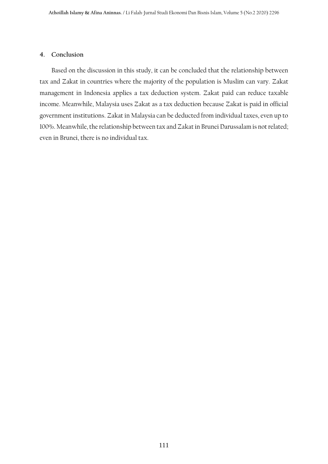### **4. Conclusion**

Based on the discussion in this study, it can be concluded that the relationship between tax and Zakat in countries where the majority of the population is Muslim can vary. Zakat management in Indonesia applies a tax deduction system. Zakat paid can reduce taxable income. Meanwhile, Malaysia uses Zakat as a tax deduction because Zakat is paid in official government institutions. Zakat in Malaysia can be deducted from individual taxes, even up to 100%. Meanwhile, the relationship between tax and Zakat in Brunei Darussalam is not related; even in Brunei, there is no individual tax.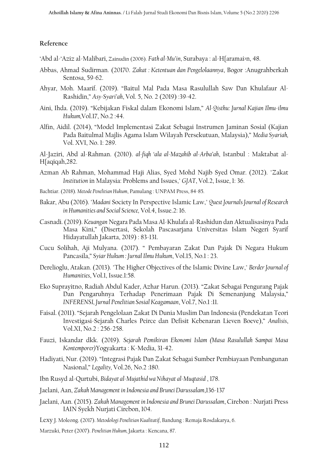#### **Reference**

- 'Abd al-'Aziz al-Malibari, Zainudin (2006). *Fath al-Mu'in*, Surabaya : al-H{aramai>n, 48.
- Abbas, Ahmad Sudirman. (20170. *Zakat : Ketentuan dan Pengelolaannya*, Bogor :Anugrahberkah Sentosa, 59-62.
- Ahyar, Moh. Maarif. (2019). "Baitul Mal Pada Masa Rasulullah Saw Dan Khulafaur Al-Rashidin," *Asy-Syari'ah*, Vol. 5, No. 2 (2019) :39-42.
- Aini, Ihda. (2019). "Kebijakan Fiskal dalam Ekonomi Islam," *Al-Qisthu: Jurnal Kajian Ilmu-ilmu Hukum,*Vol.17, No.2 :44.
- Alfin, Aidil. (2014), "Model Implementasi Zakat Sebagai Instrumen Jaminan Sosial (Kajian Pada Baitulmal Majlis Agama Islam Wilayah Persekutuan, Malaysia)," *Media Syariah,*  Vol. XVI, No. 1: 289.

Al-Jaziri, Abd al-Rahman. (2010). *al-fiqh 'ala al-Mazahib al-Arba'ah*, Istanbul : Maktabat al-H{aqiqah,282.

- Azman Ab Rahman, Mohammad Haji Alias, Syed Mohd Najib Syed Omar. (2012). "Zakat *Institution* in Malaysia: Problems and Issues," *GJAT*, Vol.2, Issue, 1: 36.
- Bachtiar. (2018). *Metode Penelitian Hukum*, Pamulang : UNPAM Press, 84-85.
- Bakar, Abu (2016). "*Madani* Society In Perspective Islamic Law," *Quest Journals Journal of Research in Humanities and Social Science,* Vol.4, Issue.2: 16.
- Casnadi. (2019). *Keuangan* Negara Pada Masa Al-Khulafa al-Rashidun dan Aktualisasinya Pada Masa Kini," (Disertasi, Sekolah Pascasarjana Universitas Islam Negeri Syarif Hidayatullah Jakarta, 2019) : 83-131.
- Cucu Solihah, Aji Mulyana. (2017). " Pembayaran Zakat Dan Pajak Di Negara Hukum Pancasila," *Syiar Hukum : Jurnal Ilmu Hukum*, Vol.15, No.1 : 23.
- Derelioglu, Atakan. (2013). "The Higher Objectives of the Islamic Divine Law," *Berder Journal of Humanities*, Vol.1, Issue.1:58.
- Eko Suprayitno, Radiah Abdul Kader, Azhar Harun. (2013). "Zakat Sebagai Pengurang Pajak Dan Pengaruhnya Terhadap Penerimaan Pajak Di Semenanjung Malaysia," *INFERENSI, Jurnal Penelitian Sosial Keagamaan*, Vol.7, No.1 :11.
- Faisal. (2011). "Sejarah Pengelolaan Zakat Di Dunia Muslim Dan Indonesia (Pendekatan Teori Investigasi-Sejarah Charles Peirce dan Defisit Kebenaran Lieven Boeve)," *Analisis*, Vol.XI, No.2 : 256-258.
- Fauzi, Iskandar dkk. (2019). *Sejarah Pemikiran Ekonomi Islam (Masa Rasulullah Sampai Masa Kontemporer)*Yogyakarta : K-Media, 31-42.
- Hadiyati, Nur. (2019). "Integrasi Pajak Dan Zakat Sebagai Sumber Pembiayaan Pembangunan Nasional," *Legality,* Vol.26, No.2 :180.
- Ibn Rusyd al-Qurtubi, *Bidayat al-Mujathid wa Nihayat al-Muqtasid* , 178.
- Jaelani, Aan, *Zakah Management in Indonesia and Brunei Darussalam*,136-137
- Jaelani, Aan. (2015). *Zakah Management in Indonesia and Brunei Darussalam*, Cirebon : Nurjati Press IAIN Syekh Nurjati Cirebon, 104.
- Lexy J. Moleong. (2017). *Metodologi Penelitian Kualitatif*, Bandung : Remaja Rosdakarya, 6.
- Marzuki, Peter (2007). *Penelitian Hukum,* Jakarta : Kencana, 87.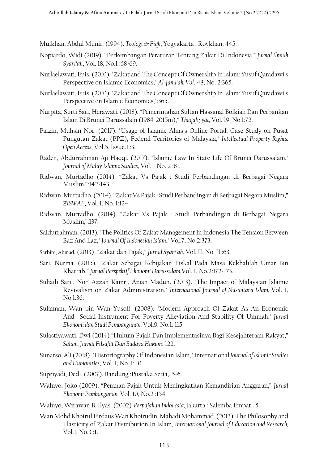Mulkhan, Abdul Munir. (1994). *Teologi & Fiqh*, Yogyakarta : Roykhan, 445.

- Nopiardo, Widi (2019). "Perkembangan Peraturan Tentang Zakat Di Indonesia," *Jurnal Ilmiah Syari'ah*, Vol. 18, No.1 :68-69.
- Nurlaelawati, Euis. (2010). "Zakat and The Concept Of Ownership In Islam: Yusuf Qaradawi's Perspective on Islamic Economics," *Al-Jami'ah, Vol*. 48, No. 2:365.
- Nurlaelawati, Euis. (2010). "Zakat and The Concept Of Ownership In Islam: Yusuf Qaradawi's Perspective on Islamic Economics,":365.
- Nurpita, Surti Sari, Herawati. (2018). "Pemerintahan Sultan Hassanal Bolkiah Dan Perbankan Islam Di Brunei Darussalam (1984-2015m)," *Thaqafiyyat,* Vol. 19, No.1:72.
- Paizin, Muhsin Nor. (2017). "Usage of Islamic Alms's Online Portal: Case Study on Pusat Pungutan Zakat (PPZ), Federal Territories of Malaysia," *Intellectual Property Rights: Open Access*, Vol.5, Issue.1 :3.
- Raden, Abdurrahman Aji Haqqi. (2017). "Islamic Law In State Life Of Brunei Darussalam," *Journal of Malay Islamic Studies*, Vol. 1 No. 2 :81.
- Ridwan, Murtadho (2014). "Zakat Vs Pajak : Studi Perbandingan di Berbagai Negara Muslim,":142-143.
- Ridwan, Murtadho. (2014). "Zakat Vs Pajak : Studi Perbandingan di Berbagai Negara Muslim," *ZISWAF*, Vol. 1, No. 1:124.
- Ridwan, Murtadho. (2014). "Zakat Vs Pajak : Studi Perbandingan di Berbagai Negara Muslim,":137.
- Saidurrahman. (2013). "The Politics Of Zakat Management In Indonesia The Tension Between Baz And Laz," *Journal Of Indonesian Islam*," Vol.7, No.2:373.
- Sarbini, Ahmad. (2013) "Zakat dan Pajak," *Jurnal Syari'ah*, Vol. II, No. II :63.
- Sari, Nurma. (2015). "Zakat Sebagai Kebijakan Fiskal Pada Masa Kekhalifah Umar Bin Khattab," *Jurnal Perspektif Ekonomi Darussalam,*Vol. 1, No.2:172-173.
- Suhaili Sarif, Nor' Azzah Kamri, Azian Madun. (2013). "The Impact of Malaysian Islamic Revivalism on Zakat Administration," *International Journal of Nusantara Islam,* Vol. 1, No.1:36.
- Sulaiman, Wan bin Wan Yusoff. (2008). "Modern Approach Of Zakat As An Economic And Social Instrument For Poverty Alleviation And Stability Of Ummah," *Jurnal Ekonomi dan Studi Pembangunan,* Vol.9, No.1: 115.
- Sulastiyawati, Dwi (2014) "Hukum Pajak Dan Implementasinya Bagi Kesejahteraan Rakyat," *Salam; Jurnal Filsafat Dan Budaya Hukum*: 122.
- Sunarso, Ali (2018). "Historiography Of Indonesian Islam," International*Journal of Islamic Studies and Humanities*, Vol. 1, No. 1: 10.
- Supriyadi, Dedi. (2007). Bandung :Pustaka Setia,, 5-6.
- Waluyo, Joko (2009). "Peranan Pajak Untuk Meningkatkan Kemandirian Anggaran," *Jurnal Ekonomi Pembangunan,* Vol. 10, No.2 :154.
- Waluyo, Wirawan B. Ilyas. (2002)*. Perpajakan Indonesia,* Jakarta : Salemba Empat, 5.
- Wan MohdKhoirul Firdaus Wan Khoirudin, Mahadi Mohammad. (2013). The Philosophy and Elasticity of Zakat Distribution In Islam, *International Journal of Education and Research,*  Vol.1, No.3 :1.